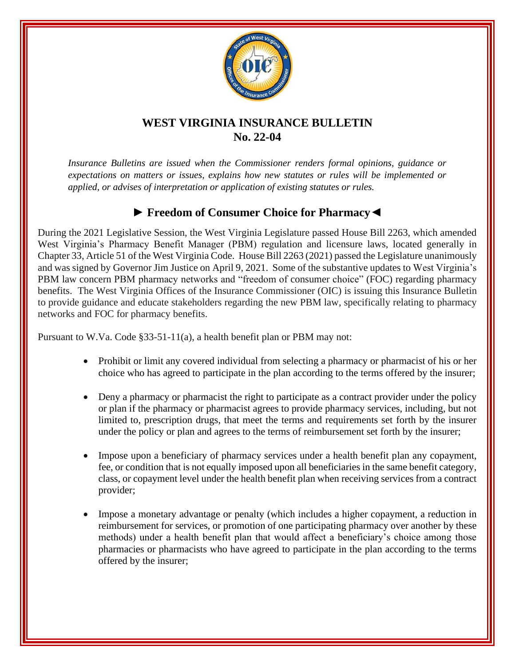

## **WEST VIRGINIA INSURANCE BULLETIN No. 22-04**

*Insurance Bulletins are issued when the Commissioner renders formal opinions, guidance or expectations on matters or issues, explains how new statutes or rules will be implemented or applied, or advises of interpretation or application of existing statutes or rules.*

## **► Freedom of Consumer Choice for Pharmacy◄**

During the 2021 Legislative Session, the West Virginia Legislature passed House Bill 2263, which amended West Virginia's Pharmacy Benefit Manager (PBM) regulation and licensure laws, located generally in Chapter 33, Article 51 of the West Virginia Code. House Bill 2263 (2021) passed the Legislature unanimously and was signed by Governor Jim Justice on April 9, 2021. Some of the substantive updates to West Virginia's PBM law concern PBM pharmacy networks and "freedom of consumer choice" (FOC) regarding pharmacy benefits. The West Virginia Offices of the Insurance Commissioner (OIC) is issuing this Insurance Bulletin to provide guidance and educate stakeholders regarding the new PBM law, specifically relating to pharmacy networks and FOC for pharmacy benefits.

Pursuant to W.Va. Code §33-51-11(a), a health benefit plan or PBM may not:

- Prohibit or limit any covered individual from selecting a pharmacy or pharmacist of his or her choice who has agreed to participate in the plan according to the terms offered by the insurer;
- Deny a pharmacy or pharmacist the right to participate as a contract provider under the policy or plan if the pharmacy or pharmacist agrees to provide pharmacy services, including, but not limited to, prescription drugs, that meet the terms and requirements set forth by the insurer under the policy or plan and agrees to the terms of reimbursement set forth by the insurer;
- Impose upon a beneficiary of pharmacy services under a health benefit plan any copayment, fee, or condition that is not equally imposed upon all beneficiaries in the same benefit category, class, or copayment level under the health benefit plan when receiving services from a contract provider;
- Impose a monetary advantage or penalty (which includes a higher copayment, a reduction in reimbursement for services, or promotion of one participating pharmacy over another by these methods) under a health benefit plan that would affect a beneficiary's choice among those pharmacies or pharmacists who have agreed to participate in the plan according to the terms offered by the insurer;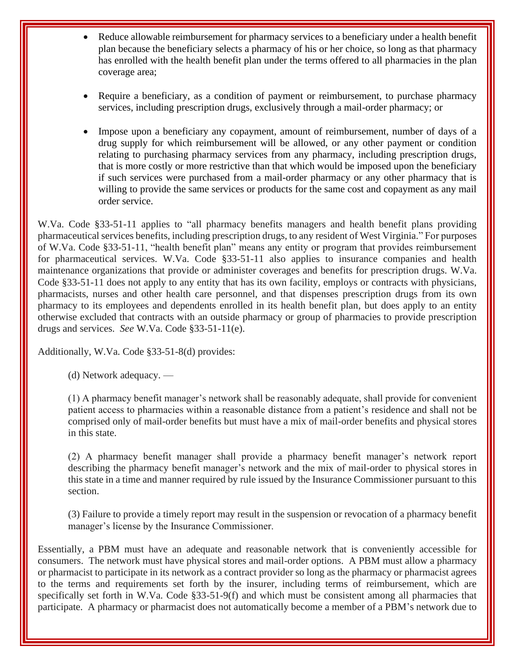- Reduce allowable reimbursement for pharmacy services to a beneficiary under a health benefit plan because the beneficiary selects a pharmacy of his or her choice, so long as that pharmacy has enrolled with the health benefit plan under the terms offered to all pharmacies in the plan coverage area;
- Require a beneficiary, as a condition of payment or reimbursement, to purchase pharmacy services, including prescription drugs, exclusively through a mail-order pharmacy; or
- Impose upon a beneficiary any copayment, amount of reimbursement, number of days of a drug supply for which reimbursement will be allowed, or any other payment or condition relating to purchasing pharmacy services from any pharmacy, including prescription drugs, that is more costly or more restrictive than that which would be imposed upon the beneficiary if such services were purchased from a mail-order pharmacy or any other pharmacy that is willing to provide the same services or products for the same cost and copayment as any mail order service.

W.Va. Code §33-51-11 applies to "all pharmacy benefits managers and health benefit plans providing pharmaceutical services benefits, including prescription drugs, to any resident of West Virginia." For purposes of W.Va. Code §33-51-11, "health benefit plan" means any entity or program that provides reimbursement for pharmaceutical services. W.Va. Code §33-51-11 also applies to insurance companies and health maintenance organizations that provide or administer coverages and benefits for prescription drugs. W.Va. Code §33-51-11 does not apply to any entity that has its own facility, employs or contracts with physicians, pharmacists, nurses and other health care personnel, and that dispenses prescription drugs from its own pharmacy to its employees and dependents enrolled in its health benefit plan, but does apply to an entity otherwise excluded that contracts with an outside pharmacy or group of pharmacies to provide prescription drugs and services. *See* W.Va. Code §33-51-11(e).

Additionally, W.Va. Code §33-51-8(d) provides:

(d) Network adequacy. —

(1) A pharmacy benefit manager's network shall be reasonably adequate, shall provide for convenient patient access to pharmacies within a reasonable distance from a patient's residence and shall not be comprised only of mail-order benefits but must have a mix of mail-order benefits and physical stores in this state.

(2) A pharmacy benefit manager shall provide a pharmacy benefit manager's network report describing the pharmacy benefit manager's network and the mix of mail-order to physical stores in this state in a time and manner required by rule issued by the Insurance Commissioner pursuant to this section.

(3) Failure to provide a timely report may result in the suspension or revocation of a pharmacy benefit manager's license by the Insurance Commissioner.

Essentially, a PBM must have an adequate and reasonable network that is conveniently accessible for consumers. The network must have physical stores and mail-order options. A PBM must allow a pharmacy or pharmacist to participate in its network as a contract provider so long as the pharmacy or pharmacist agrees to the terms and requirements set forth by the insurer, including terms of reimbursement, which are specifically set forth in W.Va. Code §33-51-9(f) and which must be consistent among all pharmacies that participate. A pharmacy or pharmacist does not automatically become a member of a PBM's network due to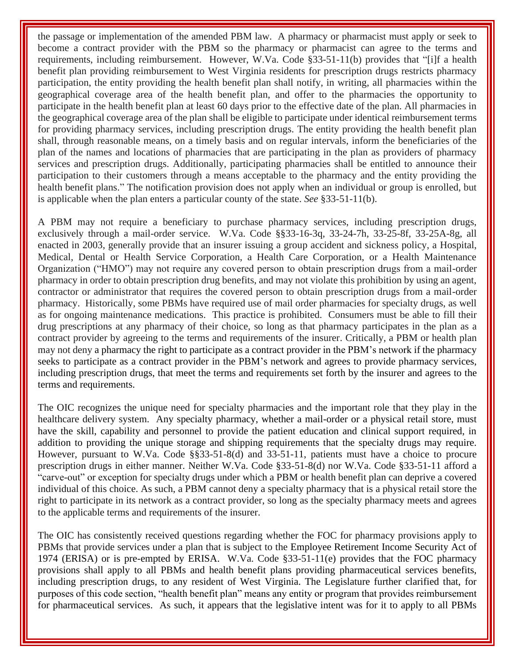the passage or implementation of the amended PBM law. A pharmacy or pharmacist must apply or seek to become a contract provider with the PBM so the pharmacy or pharmacist can agree to the terms and requirements, including reimbursement. However, W.Va. Code §33-51-11(b) provides that "[i]f a health benefit plan providing reimbursement to West Virginia residents for prescription drugs restricts pharmacy participation, the entity providing the health benefit plan shall notify, in writing, all pharmacies within the geographical coverage area of the health benefit plan, and offer to the pharmacies the opportunity to participate in the health benefit plan at least 60 days prior to the effective date of the plan. All pharmacies in the geographical coverage area of the plan shall be eligible to participate under identical reimbursement terms for providing pharmacy services, including prescription drugs. The entity providing the health benefit plan shall, through reasonable means, on a timely basis and on regular intervals, inform the beneficiaries of the plan of the names and locations of pharmacies that are participating in the plan as providers of pharmacy services and prescription drugs. Additionally, participating pharmacies shall be entitled to announce their participation to their customers through a means acceptable to the pharmacy and the entity providing the health benefit plans." The notification provision does not apply when an individual or group is enrolled, but is applicable when the plan enters a particular county of the state. *See* §33-51-11(b).

A PBM may not require a beneficiary to purchase pharmacy services, including prescription drugs, exclusively through a mail-order service. W.Va. Code §§33-16-3q, 33-24-7h, 33-25-8f, 33-25A-8g, all enacted in 2003, generally provide that an insurer issuing a group accident and sickness policy, a Hospital, Medical, Dental or Health Service Corporation, a Health Care Corporation, or a Health Maintenance Organization ("HMO") may not require any covered person to obtain prescription drugs from a mail-order pharmacy in order to obtain prescription drug benefits, and may not violate this prohibition by using an agent, contractor or administrator that requires the covered person to obtain prescription drugs from a mail-order pharmacy. Historically, some PBMs have required use of mail order pharmacies for specialty drugs, as well as for ongoing maintenance medications. This practice is prohibited. Consumers must be able to fill their drug prescriptions at any pharmacy of their choice, so long as that pharmacy participates in the plan as a contract provider by agreeing to the terms and requirements of the insurer. Critically, a PBM or health plan may not deny a pharmacy the right to participate as a contract provider in the PBM's network if the pharmacy seeks to participate as a contract provider in the PBM's network and agrees to provide pharmacy services, including prescription drugs, that meet the terms and requirements set forth by the insurer and agrees to the terms and requirements.

The OIC recognizes the unique need for specialty pharmacies and the important role that they play in the healthcare delivery system. Any specialty pharmacy, whether a mail-order or a physical retail store, must have the skill, capability and personnel to provide the patient education and clinical support required, in addition to providing the unique storage and shipping requirements that the specialty drugs may require. However, pursuant to W.Va. Code §§33-51-8(d) and 33-51-11, patients must have a choice to procure prescription drugs in either manner. Neither W.Va. Code §33-51-8(d) nor W.Va. Code §33-51-11 afford a "carve-out" or exception for specialty drugs under which a PBM or health benefit plan can deprive a covered individual of this choice. As such, a PBM cannot deny a specialty pharmacy that is a physical retail store the right to participate in its network as a contract provider, so long as the specialty pharmacy meets and agrees to the applicable terms and requirements of the insurer.

The OIC has consistently received questions regarding whether the FOC for pharmacy provisions apply to PBMs that provide services under a plan that is subject to the Employee Retirement Income Security Act of 1974 (ERISA) or is pre-empted by ERISA. W.Va. Code §33-51-11(e) provides that the FOC pharmacy provisions shall apply to all PBMs and health benefit plans providing pharmaceutical services benefits, including prescription drugs, to any resident of West Virginia. The Legislature further clarified that, for purposes of this code section, "health benefit plan" means any entity or program that provides reimbursement for pharmaceutical services. As such, it appears that the legislative intent was for it to apply to all PBMs